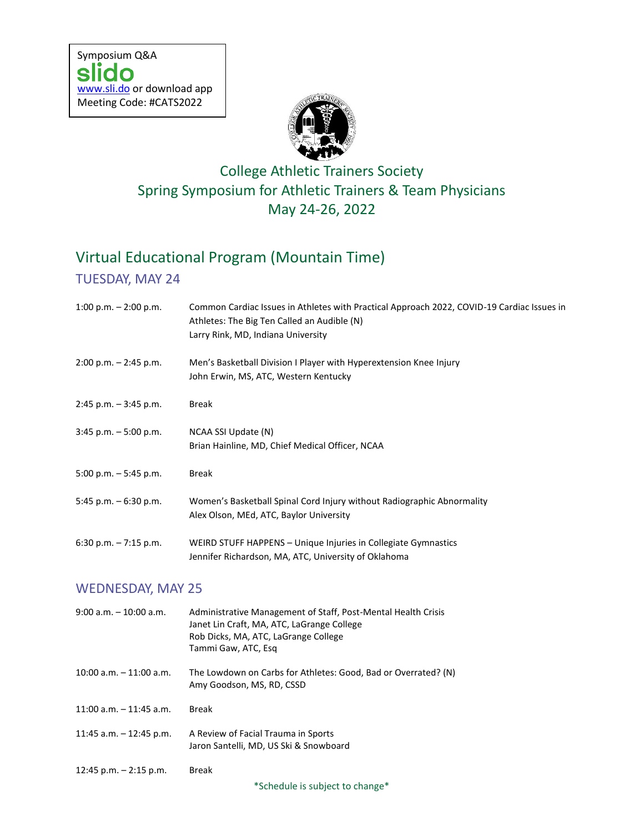

## College Athletic Trainers Society Spring Symposium for Athletic Trainers & Team Physicians May 24-26, 2022

# Virtual Educational Program (Mountain Time)

### TUESDAY, MAY 24

| 1:00 p.m. $-$ 2:00 p.m.    | Common Cardiac Issues in Athletes with Practical Approach 2022, COVID-19 Cardiac Issues in<br>Athletes: The Big Ten Called an Audible (N)<br>Larry Rink, MD, Indiana University |
|----------------------------|---------------------------------------------------------------------------------------------------------------------------------------------------------------------------------|
| $2:00$ p.m. $-2:45$ p.m.   | Men's Basketball Division I Player with Hyperextension Knee Injury<br>John Erwin, MS, ATC, Western Kentucky                                                                     |
| $2:45$ p.m. $-3:45$ p.m.   | Break                                                                                                                                                                           |
| $3:45$ p.m. $-5:00$ p.m.   | NCAA SSI Update (N)<br>Brian Hainline, MD, Chief Medical Officer, NCAA                                                                                                          |
| 5:00 p.m. $-5:45$ p.m.     | <b>Break</b>                                                                                                                                                                    |
| 5:45 p.m. $-6:30$ p.m.     | Women's Basketball Spinal Cord Injury without Radiographic Abnormality<br>Alex Olson, MEd, ATC, Baylor University                                                               |
| 6:30 p.m. $-7:15$ p.m.     | WEIRD STUFF HAPPENS - Unique Injuries in Collegiate Gymnastics<br>Jennifer Richardson, MA, ATC, University of Oklahoma                                                          |
| <b>WEDNESDAY, MAY 25</b>   |                                                                                                                                                                                 |
| $9:00$ a.m. $-10:00$ a.m.  | Administrative Management of Staff, Post-Mental Health Crisis<br>Janet Lin Craft, MA, ATC, LaGrange College<br>Rob Dicks, MA, ATC, LaGrange College<br>Tammi Gaw, ATC, Esq      |
| $10:00$ a.m. $-11:00$ a.m. | The Lowdown on Carbs for Athletes: Good, Bad or Overrated? (N)<br>Amy Goodson, MS, RD, CSSD                                                                                     |
| 11:00 a.m. - 11:45 a.m.    | <b>Break</b>                                                                                                                                                                    |
| 11:45 a.m. $-$ 12:45 p.m.  | A Review of Facial Trauma in Sports<br>Jaron Santelli, MD, US Ski & Snowboard                                                                                                   |
| 12:45 p.m. $-$ 2:15 p.m.   | Break                                                                                                                                                                           |

\*Schedule is subject to change\*